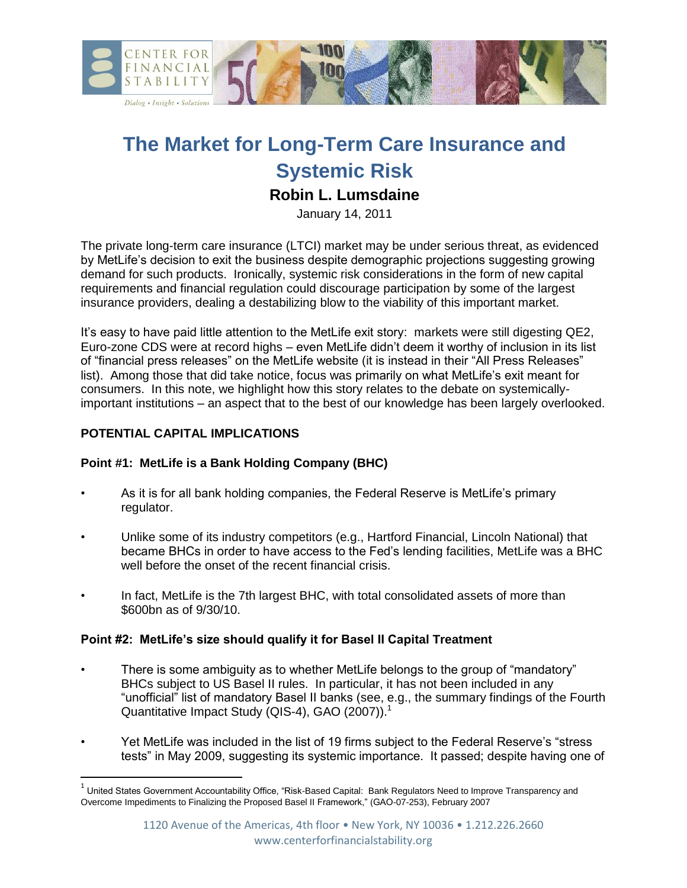

# **The Market for Long-Term Care Insurance and Systemic Risk**

# **Robin L. Lumsdaine**

January 14, 2011

The private long-term care insurance (LTCI) market may be under serious threat, as evidenced by MetLife's decision to exit the business despite demographic projections suggesting growing demand for such products. Ironically, systemic risk considerations in the form of new capital requirements and financial regulation could discourage participation by some of the largest insurance providers, dealing a destabilizing blow to the viability of this important market.

It's easy to have paid little attention to the MetLife exit story: markets were still digesting QE2, Euro-zone CDS were at record highs – even MetLife didn't deem it worthy of inclusion in its list of "financial press releases" on the MetLife website (it is instead in their "All Press Releases" list). Among those that did take notice, focus was primarily on what MetLife's exit meant for consumers. In this note, we highlight how this story relates to the debate on systemicallyimportant institutions – an aspect that to the best of our knowledge has been largely overlooked.

# **POTENTIAL CAPITAL IMPLICATIONS**

l

## **Point #1: MetLife is a Bank Holding Company (BHC)**

- As it is for all bank holding companies, the Federal Reserve is MetLife's primary regulator.
- Unlike some of its industry competitors (e.g., Hartford Financial, Lincoln National) that became BHCs in order to have access to the Fed's lending facilities, MetLife was a BHC well before the onset of the recent financial crisis.
- In fact, MetLife is the 7th largest BHC, with total consolidated assets of more than \$600bn as of 9/30/10.

#### **Point #2: MetLife's size should qualify it for Basel II Capital Treatment**

- There is some ambiguity as to whether MetLife belongs to the group of "mandatory" BHCs subject to US Basel II rules. In particular, it has not been included in any "unofficial" list of mandatory Basel II banks (see, e.g., the summary findings of the Fourth Quantitative Impact Study (QIS-4), GAO (2007)).<sup>1</sup>
- Yet MetLife was included in the list of 19 firms subject to the Federal Reserve's "stress tests" in May 2009, suggesting its systemic importance. It passed; despite having one of

 $^{\rm 1}$  United States Government Accountability Office, "Risk-Based Capital: Bank Regulators Need to Improve Transparency and Overcome Impediments to Finalizing the Proposed Basel II Framework," (GAO-07-253), February 2007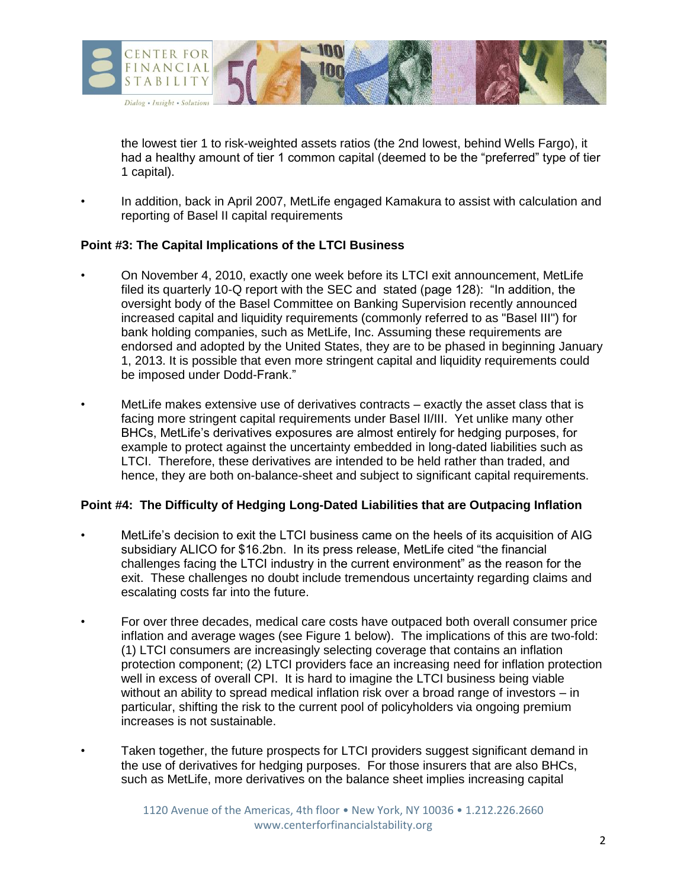

the lowest tier 1 to risk-weighted assets ratios (the 2nd lowest, behind Wells Fargo), it had a healthy amount of tier 1 common capital (deemed to be the "preferred" type of tier 1 capital).

• In addition, back in April 2007, MetLife engaged Kamakura to assist with calculation and reporting of Basel II capital requirements

#### **Point #3: The Capital Implications of the LTCI Business**

- On November 4, 2010, exactly one week before its LTCI exit announcement, MetLife filed its quarterly 10-Q report with the SEC and stated (page 128): "In addition, the oversight body of the Basel Committee on Banking Supervision recently announced increased capital and liquidity requirements (commonly referred to as "Basel III") for bank holding companies, such as MetLife, Inc. Assuming these requirements are endorsed and adopted by the United States, they are to be phased in beginning January 1, 2013. It is possible that even more stringent capital and liquidity requirements could be imposed under Dodd-Frank."
- MetLife makes extensive use of derivatives contracts exactly the asset class that is facing more stringent capital requirements under Basel II/III. Yet unlike many other BHCs, MetLife's derivatives exposures are almost entirely for hedging purposes, for example to protect against the uncertainty embedded in long-dated liabilities such as LTCI. Therefore, these derivatives are intended to be held rather than traded, and hence, they are both on-balance-sheet and subject to significant capital requirements.

#### **Point #4: The Difficulty of Hedging Long-Dated Liabilities that are Outpacing Inflation**

- MetLife's decision to exit the LTCI business came on the heels of its acquisition of AIG subsidiary ALICO for \$16.2bn. In its press release, MetLife cited "the financial challenges facing the LTCI industry in the current environment" as the reason for the exit. These challenges no doubt include tremendous uncertainty regarding claims and escalating costs far into the future.
- For over three decades, medical care costs have outpaced both overall consumer price inflation and average wages (see Figure 1 below). The implications of this are two-fold: (1) LTCI consumers are increasingly selecting coverage that contains an inflation protection component; (2) LTCI providers face an increasing need for inflation protection well in excess of overall CPI. It is hard to imagine the LTCI business being viable without an ability to spread medical inflation risk over a broad range of investors – in particular, shifting the risk to the current pool of policyholders via ongoing premium increases is not sustainable.
	- Taken together, the future prospects for LTCI providers suggest significant demand in the use of derivatives for hedging purposes. For those insurers that are also BHCs, such as MetLife, more derivatives on the balance sheet implies increasing capital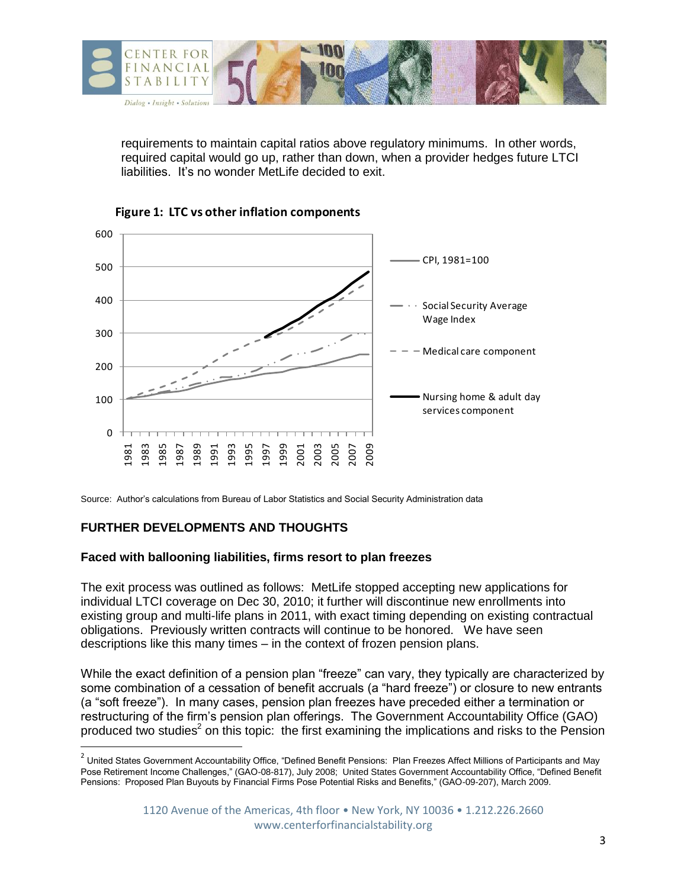

requirements to maintain capital ratios above regulatory minimums. In other words, required capital would go up, rather than down, when a provider hedges future LTCI liabilities. It's no wonder MetLife decided to exit.





Source: Author's calculations from Bureau of Labor Statistics and Social Security Administration data

# **FURTHER DEVELOPMENTS AND THOUGHTS**

l

## **Faced with ballooning liabilities, firms resort to plan freezes**

The exit process was outlined as follows: MetLife stopped accepting new applications for individual LTCI coverage on Dec 30, 2010; it further will discontinue new enrollments into existing group and multi-life plans in 2011, with exact timing depending on existing contractual obligations. Previously written contracts will continue to be honored. We have seen descriptions like this many times – in the context of frozen pension plans.

While the exact definition of a pension plan "freeze" can vary, they typically are characterized by some combination of a cessation of benefit accruals (a "hard freeze") or closure to new entrants (a "soft freeze"). In many cases, pension plan freezes have preceded either a termination or restructuring of the firm's pension plan offerings. The Government Accountability Office (GAO) produced two studies<sup>2</sup> on this topic: the first examining the implications and risks to the Pension

<sup>&</sup>lt;sup>2</sup> United States Government Accountability Office, "Defined Benefit Pensions: Plan Freezes Affect Millions of Participants and May Pose Retirement Income Challenges," (GAO-08-817), July 2008; United States Government Accountability Office, "Defined Benefit Pensions: Proposed Plan Buyouts by Financial Firms Pose Potential Risks and Benefits," (GAO-09-207), March 2009.